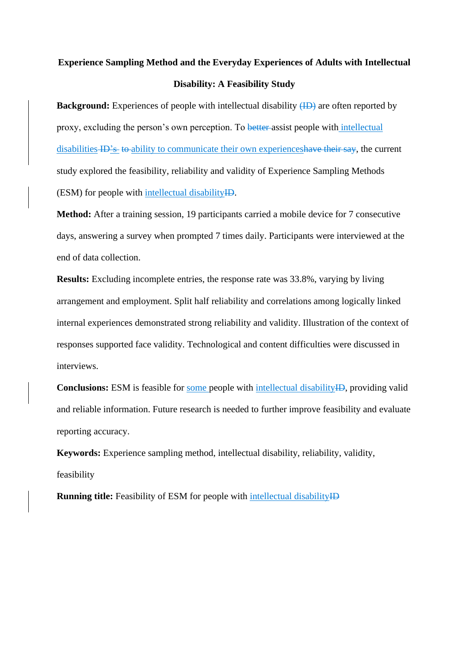# **Experience Sampling Method and the Everyday Experiences of Adults with Intellectual Disability: A Feasibility Study**

**Background:** Experiences of people with intellectual disability  $(HD)$  are often reported by proxy, excluding the person's own perception. To better assist people with intellectual disabilities ID's to ability to communicate their own experiences have their say, the current study explored the feasibility, reliability and validity of Experience Sampling Methods (ESM) for people with intellectual disability ID.

**Method:** After a training session, 19 participants carried a mobile device for 7 consecutive days, answering a survey when prompted 7 times daily. Participants were interviewed at the end of data collection.

**Results:** Excluding incomplete entries, the response rate was 33.8%, varying by living arrangement and employment. Split half reliability and correlations among logically linked internal experiences demonstrated strong reliability and validity. Illustration of the context of responses supported face validity. Technological and content difficulties were discussed in interviews.

**Conclusions:** ESM is feasible for some people with intellectual disability ID, providing valid and reliable information. Future research is needed to further improve feasibility and evaluate reporting accuracy.

**Keywords:** Experience sampling method, intellectual disability, reliability, validity, feasibility

**Running title:** Feasibility of ESM for people with intellectual disability ID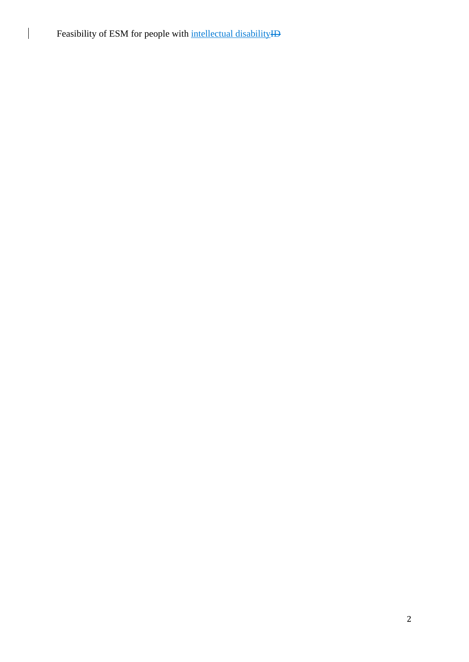Feasibility of ESM for people with intellectual disability ID

 $\begin{array}{c} \hline \end{array}$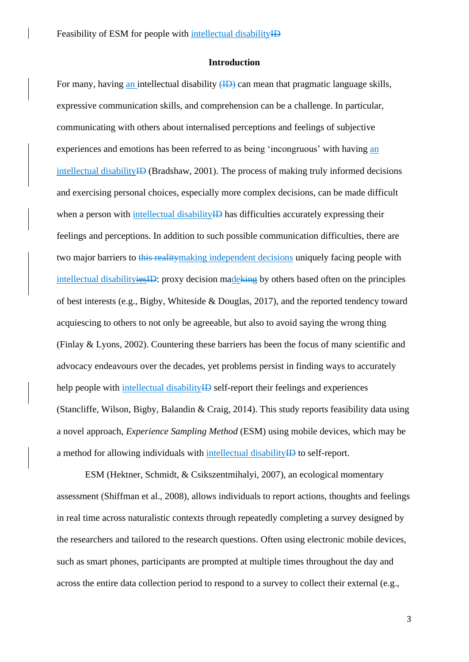#### **Introduction**

For many, having an intellectual disability  $(H)$  can mean that pragmatic language skills, expressive communication skills, and comprehension can be a challenge. In particular, communicating with others about internalised perceptions and feelings of subjective experiences and emotions has been referred to as being 'incongruous' with having an intellectual disability<sup>ID</sup> (Bradshaw, 2001). The process of making truly informed decisions and exercising personal choices, especially more complex decisions, can be made difficult when a person with intellectual disability<sup>ID</sup> has difficulties accurately expressing their feelings and perceptions. In addition to such possible communication difficulties, there are two major barriers to this realitymaking independent decisions uniquely facing people with intellectual disabilityiesID: proxy decision madering by others based often on the principles of best interests (e.g., Bigby, Whiteside & Douglas, 2017), and the reported tendency toward acquiescing to others to not only be agreeable, but also to avoid saying the wrong thing (Finlay & Lyons, 2002). Countering these barriers has been the focus of many scientific and advocacy endeavours over the decades, yet problems persist in finding ways to accurately help people with intellectual disability<sup>ID</sup> self-report their feelings and experiences (Stancliffe, Wilson, Bigby, Balandin & Craig, 2014). This study reports feasibility data using a novel approach, *Experience Sampling Method* (ESM) using mobile devices, which may be a method for allowing individuals with intellectual disability<sup>ID</sup> to self-report.

ESM (Hektner, Schmidt, & Csikszentmihalyi, 2007), an ecological momentary assessment (Shiffman et al., 2008), allows individuals to report actions, thoughts and feelings in real time across naturalistic contexts through repeatedly completing a survey designed by the researchers and tailored to the research questions. Often using electronic mobile devices, such as smart phones, participants are prompted at multiple times throughout the day and across the entire data collection period to respond to a survey to collect their external (e.g.,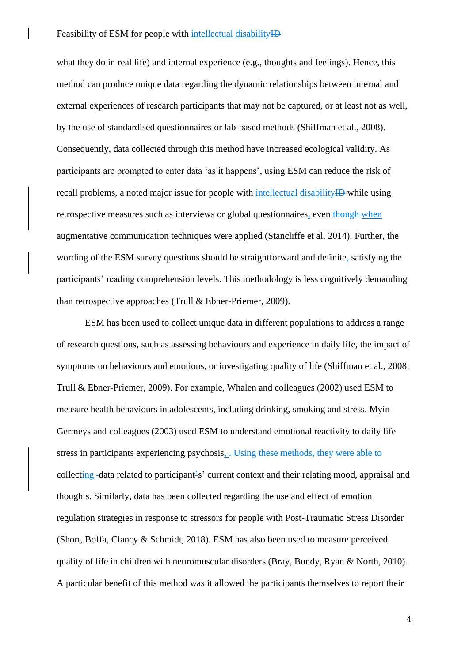#### Feasibility of ESM for people with intellectual disability ID

what they do in real life) and internal experience (e.g., thoughts and feelings). Hence, this method can produce unique data regarding the dynamic relationships between internal and external experiences of research participants that may not be captured, or at least not as well, by the use of standardised questionnaires or lab-based methods (Shiffman et al., 2008). Consequently, data collected through this method have increased ecological validity. As participants are prompted to enter data 'as it happens', using ESM can reduce the risk of recall problems, a noted major issue for people with intellectual disability<sup>ID</sup> while using retrospective measures such as interviews or global questionnaires, even though when augmentative communication techniques were applied (Stancliffe et al. 2014). Further, the wording of the ESM survey questions should be straightforward and definite, satisfying the participants' reading comprehension levels. This methodology is less cognitively demanding than retrospective approaches (Trull & Ebner-Priemer, 2009).

ESM has been used to collect unique data in different populations to address a range of research questions, such as assessing behaviours and experience in daily life, the impact of symptoms on behaviours and emotions, or investigating quality of life (Shiffman et al., 2008; Trull & Ebner-Priemer, 2009). For example, Whalen and colleagues (2002) used ESM to measure health behaviours in adolescents, including drinking, smoking and stress. Myin-Germeys and colleagues (2003) used ESM to understand emotional reactivity to daily life stress in participants experiencing psychosis, . Using these methods, they were able to collecting data related to participant's' current context and their relating mood, appraisal and thoughts. Similarly, data has been collected regarding the use and effect of emotion regulation strategies in response to stressors for people with Post-Traumatic Stress Disorder (Short, Boffa, Clancy & Schmidt, 2018). ESM has also been used to measure perceived quality of life in children with neuromuscular disorders (Bray, Bundy, Ryan & North, 2010). A particular benefit of this method was it allowed the participants themselves to report their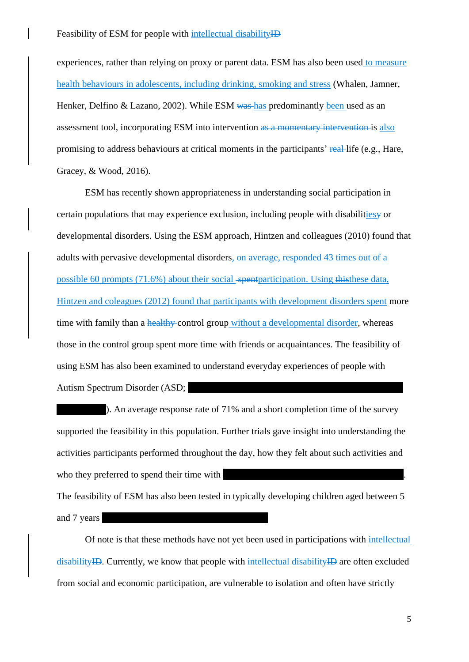experiences, rather than relying on proxy or parent data. ESM has also been used to measure health behaviours in adolescents, including drinking, smoking and stress (Whalen, Jamner, Henker, Delfino & Lazano, 2002). While ESM was has predominantly been used as an assessment tool, incorporating ESM into intervention as a momentary intervention is also promising to address behaviours at critical moments in the participants' real-life (e.g., Hare, Gracey, & Wood, 2016).

ESM has recently shown appropriateness in understanding social participation in certain populations that may experience exclusion, including people with disabilitiesy or developmental disorders. Using the ESM approach, Hintzen and colleagues (2010) found that adults with pervasive developmental disorders, on average, responded 43 times out of a possible 60 prompts (71.6%) about their social spentparticipation. Using thisthese data, Hintzen and coleagues (2012) found that participants with development disorders spent more time with family than a healthy control group without a developmental disorder, whereas those in the control group spent more time with friends or acquaintances. The feasibility of using ESM has also been examined to understand everyday experiences of people with Autism Spectrum Disorder (ASD;

). An average response rate of  $71\%$  and a short completion time of the survey supported the feasibility in this population. Further trials gave insight into understanding the activities participants performed throughout the day, how they felt about such activities and who they preferred to spend their time with The feasibility of ESM has also been tested in typically developing children aged between 5 and 7 years

Of note is that these methods have not yet been used in participations with intellectual disability $\mathbf{I}$ D. Currently, we know that people with intellectual disability $\mathbf{I}$ D are often excluded from social and economic participation, are vulnerable to isolation and often have strictly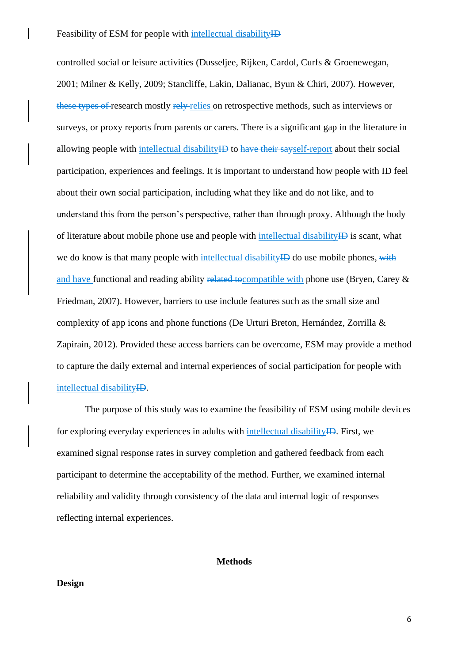controlled social or leisure activities (Dusseljee, Rijken, Cardol, Curfs & Groenewegan, 2001; Milner & Kelly, 2009; Stancliffe, Lakin, Dalianac, Byun & Chiri, 2007). However, these types of research mostly rely-relies on retrospective methods, such as interviews or surveys, or proxy reports from parents or carers. There is a significant gap in the literature in allowing people with intellectual disability<sup>ID</sup> to have their sayself-report about their social participation, experiences and feelings. It is important to understand how people with ID feel about their own social participation, including what they like and do not like, and to understand this from the person's perspective, rather than through proxy. Although the body of literature about mobile phone use and people with intellectual disability ID is scant, what we do know is that many people with intellectual disability  $\mathbf{H}$  do use mobile phones, with and have functional and reading ability related tocompatible with phone use (Bryen, Carey & Friedman, 2007). However, barriers to use include features such as the small size and complexity of app icons and phone functions (De Urturi Breton, Hernández, Zorrilla & Zapirain, 2012). Provided these access barriers can be overcome, ESM may provide a method to capture the daily external and internal experiences of social participation for people with intellectual disabilityID.

The purpose of this study was to examine the feasibility of ESM using mobile devices for exploring everyday experiences in adults with intellectual disabilityID. First, we examined signal response rates in survey completion and gathered feedback from each participant to determine the acceptability of the method. Further, we examined internal reliability and validity through consistency of the data and internal logic of responses reflecting internal experiences.

#### **Methods**

#### **Design**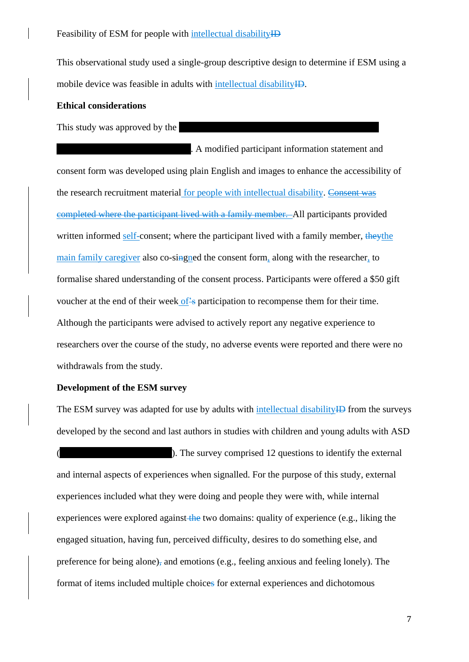This observational study used a single-group descriptive design to determine if ESM using a mobile device was feasible in adults with intellectual disability ID.

#### **Ethical considerations**

This study was approved by the

. A modified participant information statement and consent form was developed using plain English and images to enhance the accessibility of the research recruitment material for people with intellectual disability. Consent was completed where the participant lived with a family member. All participants provided written informed self-consent; where the participant lived with a family member, they the main family caregiver also co-singned the consent form, along with the researcher, to formalise shared understanding of the consent process. Participants were offered a \$50 gift voucher at the end of their week of sparticipation to recompense them for their time. Although the participants were advised to actively report any negative experience to researchers over the course of the study, no adverse events were reported and there were no withdrawals from the study.

#### **Development of the ESM survey**

The ESM survey was adapted for use by adults with intellectual disability ID from the surveys developed by the second and last authors in studies with children and young adults with ASD

). The survey comprised 12 questions to identify the external and internal aspects of experiences when signalled. For the purpose of this study, external experiences included what they were doing and people they were with, while internal experiences were explored against the two domains: quality of experience (e.g., liking the engaged situation, having fun, perceived difficulty, desires to do something else, and preference for being alone), and emotions (e.g., feeling anxious and feeling lonely). The format of items included multiple choices for external experiences and dichotomous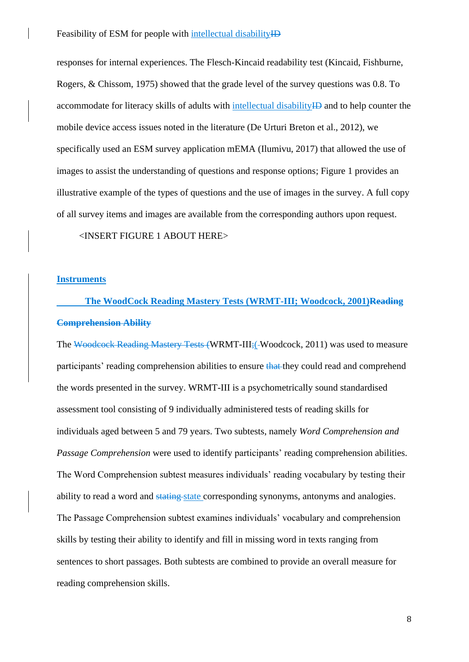responses for internal experiences. The Flesch-Kincaid readability test (Kincaid, Fishburne, Rogers, & Chissom, 1975) showed that the grade level of the survey questions was 0.8. To accommodate for literacy skills of adults with intellectual disability  $\bf{D}$  and to help counter the mobile device access issues noted in the literature (De Urturi Breton et al., 2012), we specifically used an ESM survey application mEMA (Ilumivu, 2017) that allowed the use of images to assist the understanding of questions and response options; Figure 1 provides an illustrative example of the types of questions and the use of images in the survey. A full copy of all survey items and images are available from the corresponding authors upon request.

<INSERT FIGURE 1 ABOUT HERE>

#### **Instruments**

**The WoodCock Reading Mastery Tests (WRMT-III; Woodcock, 2001)Reading Comprehension Ability**

The Woodcock Reading Mastery Tests (WRMT-III;(-Woodcock, 2011) was used to measure participants' reading comprehension abilities to ensure that they could read and comprehend the words presented in the survey. WRMT-III is a psychometrically sound standardised assessment tool consisting of 9 individually administered tests of reading skills for individuals aged between 5 and 79 years. Two subtests, namely *Word Comprehension and Passage Comprehension* were used to identify participants' reading comprehension abilities. The Word Comprehension subtest measures individuals' reading vocabulary by testing their ability to read a word and stating state corresponding synonyms, antonyms and analogies. The Passage Comprehension subtest examines individuals' vocabulary and comprehension skills by testing their ability to identify and fill in missing word in texts ranging from sentences to short passages. Both subtests are combined to provide an overall measure for reading comprehension skills.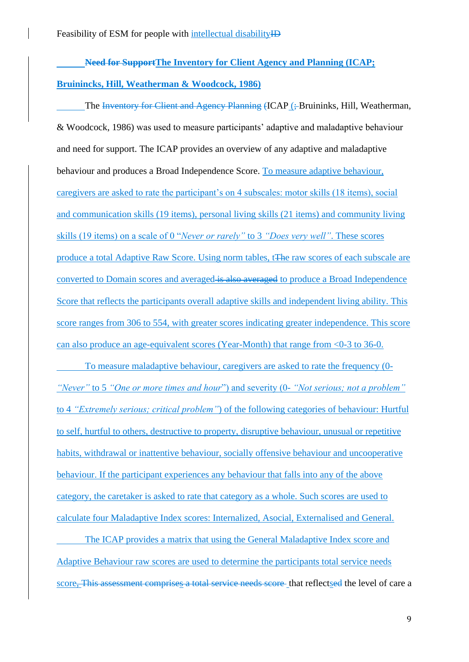**Need for SupportThe Inventory for Client Agency and Planning (ICAP; Bruinincks, Hill, Weatherman & Woodcock, 1986)**

The Inventory for Client and Agency Planning (ICAP (;-Bruininks, Hill, Weatherman, & Woodcock, 1986) was used to measure participants' adaptive and maladaptive behaviour and need for support. The ICAP provides an overview of any adaptive and maladaptive behaviour and produces a Broad Independence Score. To measure adaptive behaviour, caregivers are asked to rate the participant's on 4 subscales: motor skills (18 items), social and communication skills (19 items), personal living skills (21 items) and community living skills (19 items) on a scale of 0 "*Never or rarely"* to 3 *"Does very well"*. These scores produce a total Adaptive Raw Score. Using norm tables, tThe raw scores of each subscale are converted to Domain scores and averaged is also averaged to produce a Broad Independence Score that reflects the participants overall adaptive skills and independent living ability. This score ranges from 306 to 554, with greater scores indicating greater independence. This score can also produce an age-equivalent scores (Year-Month) that range from <0-3 to 36-0.

To measure maladaptive behaviour, caregivers are asked to rate the frequency (0- *"Never"* to 5 *"One or more times and hour*") and severity (0- *"Not serious; not a problem"*  to 4 *"Extremely serious; critical problem"*) of the following categories of behaviour: Hurtful to self, hurtful to others, destructive to property, disruptive behaviour, unusual or repetitive habits, withdrawal or inattentive behaviour, socially offensive behaviour and uncooperative behaviour. If the participant experiences any behaviour that falls into any of the above category, the caretaker is asked to rate that category as a whole. Such scores are used to calculate four Maladaptive Index scores: Internalized, Asocial, Externalised and General.

The ICAP provides a matrix that using the General Maladaptive Index score and Adaptive Behaviour raw scores are used to determine the participants total service needs score<del>, This assessment comprises a total service needs score</del> that reflectsed the level of care a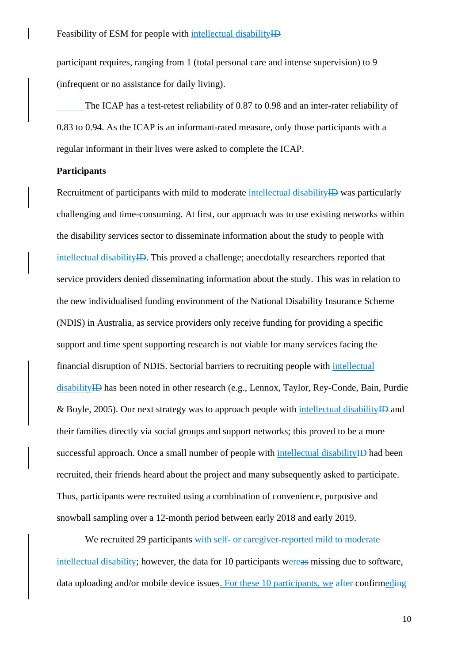participant requires, ranging from 1 (total personal care and intense supervision) to 9 (infrequent or no assistance for daily living).

The ICAP has a test-retest reliability of 0.87 to 0.98 and an inter-rater reliability of 0.83 to 0.94. As the ICAP is an informant-rated measure, only those participants with a regular informant in their lives were asked to complete the ICAP.

#### **Participants**

Recruitment of participants with mild to moderate intellectual disability<sup>ID</sup> was particularly challenging and time-consuming. At first, our approach was to use existing networks within the disability services sector to disseminate information about the study to people with intellectual disability<del>ID</del>. This proved a challenge; anecdotally researchers reported that service providers denied disseminating information about the study. This was in relation to the new individualised funding environment of the National Disability Insurance Scheme (NDIS) in Australia, as service providers only receive funding for providing a specific support and time spent supporting research is not viable for many services facing the financial disruption of NDIS. Sectorial barriers to recruiting people with intellectual disabilityID has been noted in other research (e.g., Lennox, Taylor, Rey-Conde, Bain, Purdie & Boyle, 2005). Our next strategy was to approach people with intellectual disability  $\bf{D}$  and their families directly via social groups and support networks; this proved to be a more successful approach. Once a small number of people with intellectual disability<sup>ID</sup> had been recruited, their friends heard about the project and many subsequently asked to participate. Thus, participants were recruited using a combination of convenience, purposive and snowball sampling over a 12-month period between early 2018 and early 2019.

We recruited 29 participants with self- or caregiver-reported mild to moderate intellectual disability; however, the data for 10 participants wereas missing due to software, data uploading and/or mobile device issues. For these 10 participants, we after confirmeding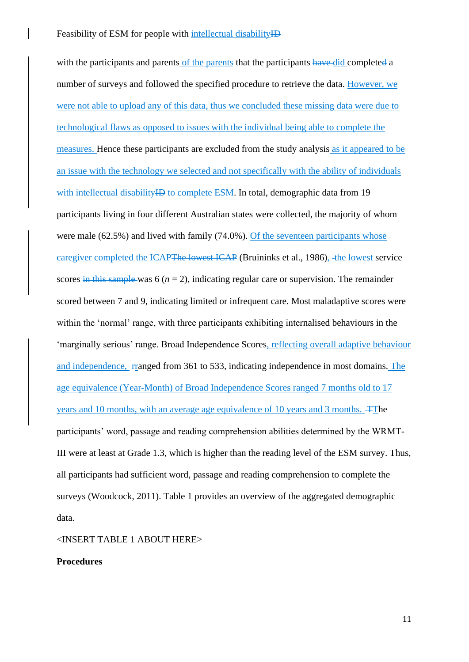with the participants and parents of the parents that the participants have did completed a number of surveys and followed the specified procedure to retrieve the data. However, we were not able to upload any of this data, thus we concluded these missing data were due to technological flaws as opposed to issues with the individual being able to complete the measures. Hence these participants are excluded from the study analysis as it appeared to be an issue with the technology we selected and not specifically with the ability of individuals with intellectual disability ID to complete ESM. In total, demographic data from 19 participants living in four different Australian states were collected, the majority of whom were male (62.5%) and lived with family (74.0%). Of the seventeen participants whose caregiver completed the ICAP<del>The lowest ICAP</del> (Bruininks et al., 1986), the lowest service scores in this sample was  $6 (n = 2)$ , indicating regular care or supervision. The remainder scored between 7 and 9, indicating limited or infrequent care. Most maladaptive scores were within the 'normal' range, with three participants exhibiting internalised behaviours in the 'marginally serious' range. Broad Independence Scores, reflecting overall adaptive behaviour and independence,  $\pm$ ranged from 361 to 533, indicating independence in most domains. The age equivalence (Year-Month) of Broad Independence Scores ranged 7 months old to 17 years and 10 months, with an average age equivalence of 10 years and 3 months.  $\pm$ The participants' word, passage and reading comprehension abilities determined by the WRMT-III were at least at Grade 1.3, which is higher than the reading level of the ESM survey. Thus, all participants had sufficient word, passage and reading comprehension to complete the surveys (Woodcock, 2011). Table 1 provides an overview of the aggregated demographic data.

<INSERT TABLE 1 ABOUT HERE>

#### **Procedures**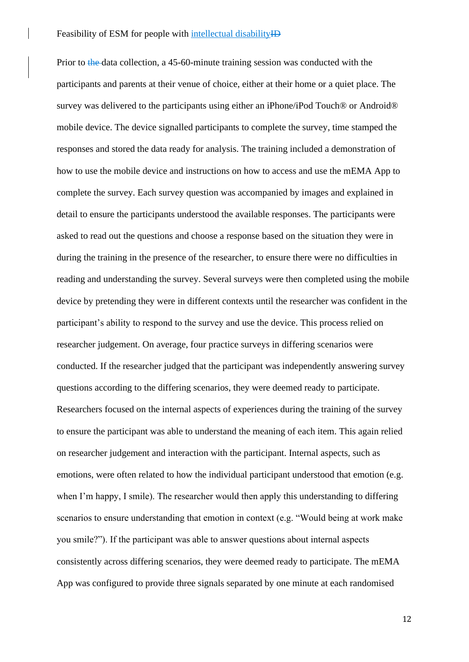Prior to the data collection, a 45-60-minute training session was conducted with the participants and parents at their venue of choice, either at their home or a quiet place. The survey was delivered to the participants using either an iPhone/iPod Touch<sup>®</sup> or Android<sup>®</sup> mobile device. The device signalled participants to complete the survey, time stamped the responses and stored the data ready for analysis. The training included a demonstration of how to use the mobile device and instructions on how to access and use the mEMA App to complete the survey. Each survey question was accompanied by images and explained in detail to ensure the participants understood the available responses. The participants were asked to read out the questions and choose a response based on the situation they were in during the training in the presence of the researcher, to ensure there were no difficulties in reading and understanding the survey. Several surveys were then completed using the mobile device by pretending they were in different contexts until the researcher was confident in the participant's ability to respond to the survey and use the device. This process relied on researcher judgement. On average, four practice surveys in differing scenarios were conducted. If the researcher judged that the participant was independently answering survey questions according to the differing scenarios, they were deemed ready to participate. Researchers focused on the internal aspects of experiences during the training of the survey to ensure the participant was able to understand the meaning of each item. This again relied on researcher judgement and interaction with the participant. Internal aspects, such as emotions, were often related to how the individual participant understood that emotion (e.g. when I'm happy, I smile). The researcher would then apply this understanding to differing scenarios to ensure understanding that emotion in context (e.g. "Would being at work make you smile?"). If the participant was able to answer questions about internal aspects consistently across differing scenarios, they were deemed ready to participate. The mEMA App was configured to provide three signals separated by one minute at each randomised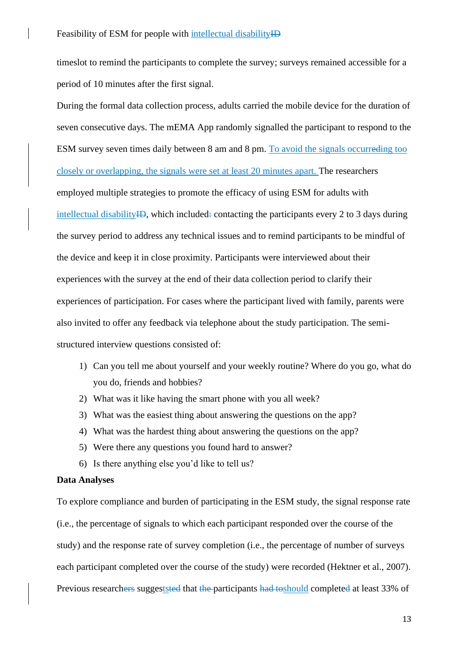timeslot to remind the participants to complete the survey; surveys remained accessible for a period of 10 minutes after the first signal.

During the formal data collection process, adults carried the mobile device for the duration of seven consecutive days. The mEMA App randomly signalled the participant to respond to the ESM survey seven times daily between 8 am and 8 pm. To avoid the signals occurreding too closely or overlapping, the signals were set at least 20 minutes apart. The researchers employed multiple strategies to promote the efficacy of using ESM for adults with intellectual disability $I\!$ , which included: contacting the participants every 2 to 3 days during the survey period to address any technical issues and to remind participants to be mindful of the device and keep it in close proximity. Participants were interviewed about their experiences with the survey at the end of their data collection period to clarify their experiences of participation. For cases where the participant lived with family, parents were also invited to offer any feedback via telephone about the study participation. The semistructured interview questions consisted of:

- 1) Can you tell me about yourself and your weekly routine? Where do you go, what do you do, friends and hobbies?
- 2) What was it like having the smart phone with you all week?
- 3) What was the easiest thing about answering the questions on the app?
- 4) What was the hardest thing about answering the questions on the app?
- 5) Were there any questions you found hard to answer?
- 6) Is there anything else you'd like to tell us?

# **Data Analyses**

To explore compliance and burden of participating in the ESM study, the signal response rate (i.e., the percentage of signals to which each participant responded over the course of the study) and the response rate of survey completion (i.e., the percentage of number of surveys each participant completed over the course of the study) were recorded (Hektner et al., 2007). Previous researchers suggeststed that the participants had toshould completed at least 33% of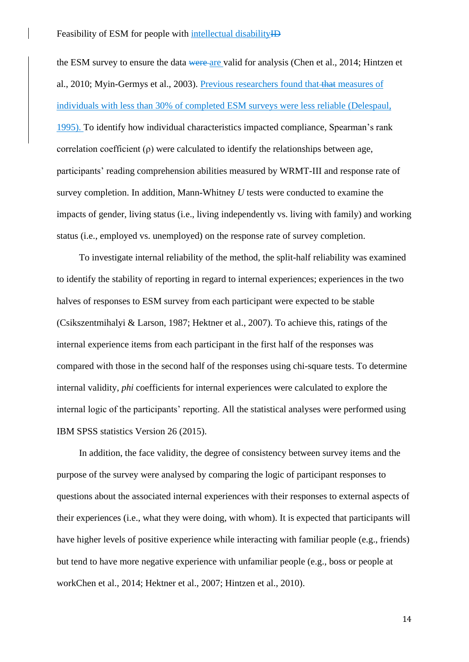the ESM survey to ensure the data were are valid for analysis (Chen et al., 2014; Hintzen et al., 2010; Myin-Germys et al., 2003). Previous researchers found that that measures of individuals with less than 30% of completed ESM surveys were less reliable (Delespaul, 1995). To identify how individual characteristics impacted compliance, Spearman's rank correlation coefficient (ρ) were calculated to identify the relationships between age, participants' reading comprehension abilities measured by WRMT-III and response rate of survey completion. In addition, Mann-Whitney *U* tests were conducted to examine the impacts of gender, living status (i.e., living independently vs. living with family) and working status (i.e., employed vs. unemployed) on the response rate of survey completion.

To investigate internal reliability of the method, the split-half reliability was examined to identify the stability of reporting in regard to internal experiences; experiences in the two halves of responses to ESM survey from each participant were expected to be stable (Csikszentmihalyi & Larson, 1987; Hektner et al., 2007). To achieve this, ratings of the internal experience items from each participant in the first half of the responses was compared with those in the second half of the responses using chi-square tests. To determine internal validity, *phi* coefficients for internal experiences were calculated to explore the internal logic of the participants' reporting. All the statistical analyses were performed using IBM SPSS statistics Version 26 (2015).

In addition, the face validity, the degree of consistency between survey items and the purpose of the survey were analysed by comparing the logic of participant responses to questions about the associated internal experiences with their responses to external aspects of their experiences (i.e., what they were doing, with whom). It is expected that participants will have higher levels of positive experience while interacting with familiar people (e.g., friends) but tend to have more negative experience with unfamiliar people (e.g., boss or people at workChen et al., 2014; Hektner et al., 2007; Hintzen et al., 2010).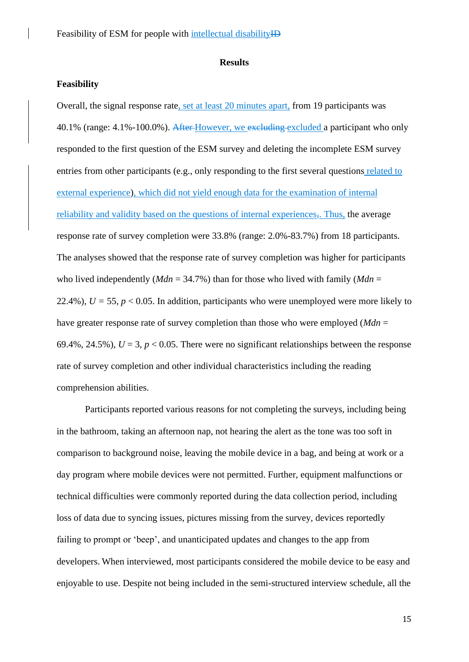#### **Results**

### **Feasibility**

Overall, the signal response rate, set at least 20 minutes apart, from 19 participants was 40.1% (range: 4.1%-100.0%). After However, we excluding excluded a participant who only responded to the first question of the ESM survey and deleting the incomplete ESM survey entries from other participants (e.g., only responding to the first several questions related to external experience), which did not yield enough data for the examination of internal reliability and validity based on the questions of internal experiences,. Thus, the average response rate of survey completion were 33.8% (range: 2.0%-83.7%) from 18 participants. The analyses showed that the response rate of survey completion was higher for participants who lived independently (*Mdn* = 34.7%) than for those who lived with family (*Mdn* = 22.4%),  $U = 55$ ,  $p < 0.05$ . In addition, participants who were unemployed were more likely to have greater response rate of survey completion than those who were employed (*Mdn* = 69.4%, 24.5%),  $U = 3$ ,  $p < 0.05$ . There were no significant relationships between the response rate of survey completion and other individual characteristics including the reading comprehension abilities.

Participants reported various reasons for not completing the surveys, including being in the bathroom, taking an afternoon nap, not hearing the alert as the tone was too soft in comparison to background noise, leaving the mobile device in a bag, and being at work or a day program where mobile devices were not permitted. Further, equipment malfunctions or technical difficulties were commonly reported during the data collection period, including loss of data due to syncing issues, pictures missing from the survey, devices reportedly failing to prompt or 'beep', and unanticipated updates and changes to the app from developers. When interviewed, most participants considered the mobile device to be easy and enjoyable to use. Despite not being included in the semi-structured interview schedule, all the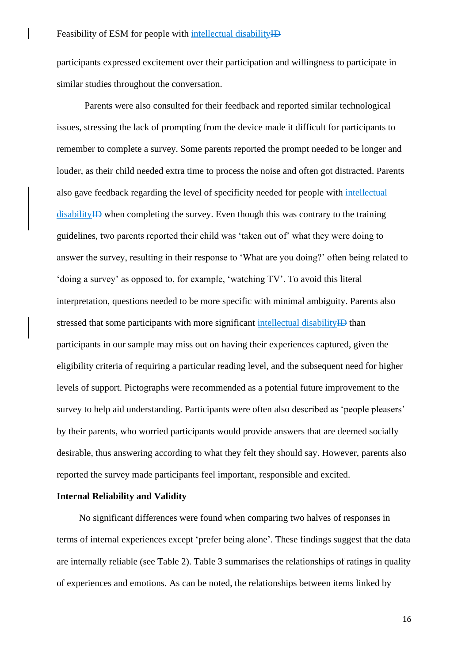participants expressed excitement over their participation and willingness to participate in similar studies throughout the conversation.

Parents were also consulted for their feedback and reported similar technological issues, stressing the lack of prompting from the device made it difficult for participants to remember to complete a survey. Some parents reported the prompt needed to be longer and louder, as their child needed extra time to process the noise and often got distracted. Parents also gave feedback regarding the level of specificity needed for people with intellectual disabilityID when completing the survey. Even though this was contrary to the training guidelines, two parents reported their child was 'taken out of' what they were doing to answer the survey, resulting in their response to 'What are you doing?' often being related to 'doing a survey' as opposed to, for example, 'watching TV'. To avoid this literal interpretation, questions needed to be more specific with minimal ambiguity. Parents also stressed that some participants with more significant intellectual disability ID than participants in our sample may miss out on having their experiences captured, given the eligibility criteria of requiring a particular reading level, and the subsequent need for higher levels of support. Pictographs were recommended as a potential future improvement to the survey to help aid understanding. Participants were often also described as 'people pleasers' by their parents, who worried participants would provide answers that are deemed socially desirable, thus answering according to what they felt they should say. However, parents also reported the survey made participants feel important, responsible and excited.

#### **Internal Reliability and Validity**

No significant differences were found when comparing two halves of responses in terms of internal experiences except 'prefer being alone'. These findings suggest that the data are internally reliable (see Table 2). Table 3 summarises the relationships of ratings in quality of experiences and emotions. As can be noted, the relationships between items linked by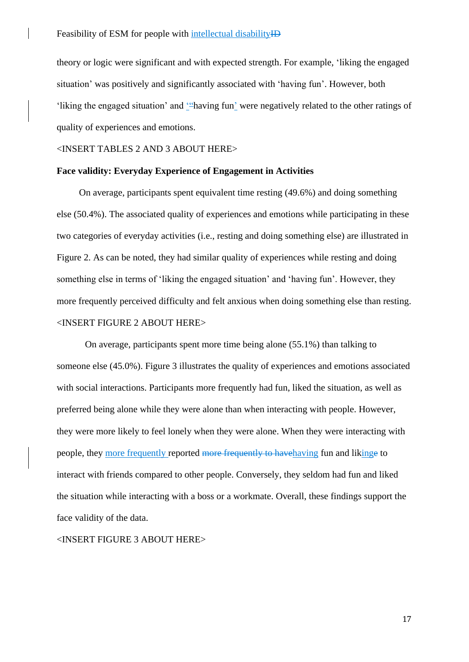theory or logic were significant and with expected strength. For example, 'liking the engaged situation' was positively and significantly associated with 'having fun'. However, both 'liking the engaged situation' and '"having fun' were negatively related to the other ratings of quality of experiences and emotions.

<INSERT TABLES 2 AND 3 ABOUT HERE>

#### **Face validity: Everyday Experience of Engagement in Activities**

On average, participants spent equivalent time resting (49.6%) and doing something else (50.4%). The associated quality of experiences and emotions while participating in these two categories of everyday activities (i.e., resting and doing something else) are illustrated in Figure 2. As can be noted, they had similar quality of experiences while resting and doing something else in terms of 'liking the engaged situation' and 'having fun'. However, they more frequently perceived difficulty and felt anxious when doing something else than resting. <INSERT FIGURE 2 ABOUT HERE>

On average, participants spent more time being alone (55.1%) than talking to someone else (45.0%). Figure 3 illustrates the quality of experiences and emotions associated with social interactions. Participants more frequently had fun, liked the situation, as well as preferred being alone while they were alone than when interacting with people. However, they were more likely to feel lonely when they were alone. When they were interacting with people, they more frequently reported more frequently to havehaving fun and likinge to interact with friends compared to other people. Conversely, they seldom had fun and liked the situation while interacting with a boss or a workmate. Overall, these findings support the face validity of the data.

<INSERT FIGURE 3 ABOUT HERE>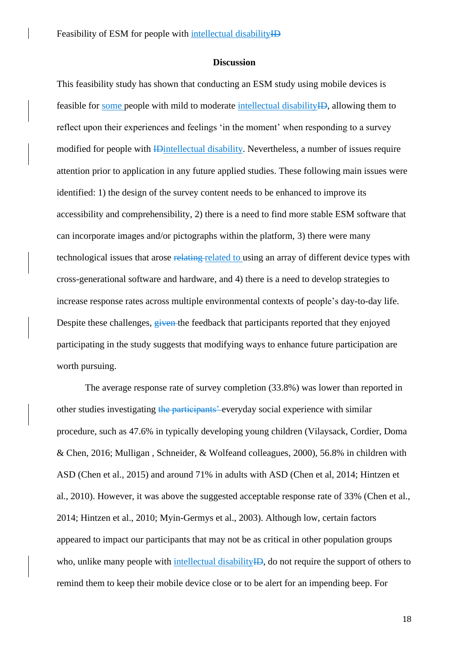#### **Discussion**

This feasibility study has shown that conducting an ESM study using mobile devices is feasible for some people with mild to moderate intellectual disability $\mathbf{D}$ , allowing them to reflect upon their experiences and feelings 'in the moment' when responding to a survey modified for people with <del>ID</del>intellectual disability. Nevertheless, a number of issues require attention prior to application in any future applied studies. These following main issues were identified: 1) the design of the survey content needs to be enhanced to improve its accessibility and comprehensibility, 2) there is a need to find more stable ESM software that can incorporate images and/or pictographs within the platform, 3) there were many technological issues that arose relating related to using an array of different device types with cross-generational software and hardware, and 4) there is a need to develop strategies to increase response rates across multiple environmental contexts of people's day-to-day life. Despite these challenges, given the feedback that participants reported that they enjoyed participating in the study suggests that modifying ways to enhance future participation are worth pursuing.

The average response rate of survey completion (33.8%) was lower than reported in other studies investigating the participants' everyday social experience with similar procedure, such as 47.6% in typically developing young children (Vilaysack, Cordier, Doma & Chen, 2016; Mulligan , Schneider, & Wolfeand colleagues, 2000), 56.8% in children with ASD (Chen et al., 2015) and around 71% in adults with ASD (Chen et al, 2014; Hintzen et al., 2010). However, it was above the suggested acceptable response rate of 33% (Chen et al., 2014; Hintzen et al., 2010; Myin-Germys et al., 2003). Although low, certain factors appeared to impact our participants that may not be as critical in other population groups who, unlike many people with intellectual disability  $\mathbf{H}$ , do not require the support of others to remind them to keep their mobile device close or to be alert for an impending beep. For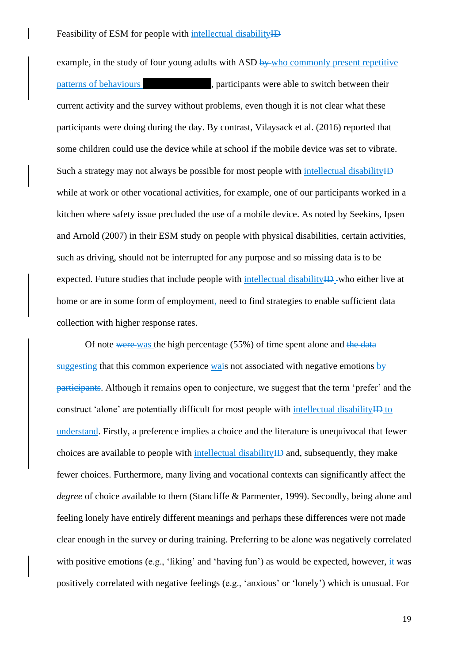#### example, in the study of four young adults with  $ASD$  by who commonly present repetitive

patterns of behaviours chem et al. participants were able to switch between their current activity and the survey without problems, even though it is not clear what these participants were doing during the day. By contrast, Vilaysack et al. (2016) reported that some children could use the device while at school if the mobile device was set to vibrate. Such a strategy may not always be possible for most people with intellectual disability<sup>ID</sup> while at work or other vocational activities, for example, one of our participants worked in a kitchen where safety issue precluded the use of a mobile device. As noted by Seekins, Ipsen and Arnold (2007) in their ESM study on people with physical disabilities, certain activities, such as driving, should not be interrupted for any purpose and so missing data is to be expected. Future studies that include people with intellectual disability<sup>ID</sup> -who either live at home or are in some form of employment, need to find strategies to enable sufficient data collection with higher response rates.

Of note were was the high percentage (55%) of time spent alone and the data  $s$ uggesting that this common experience wais not associated with negative emotions by participants. Although it remains open to conjecture, we suggest that the term 'prefer' and the construct 'alone' are potentially difficult for most people with intellectual disability<sup>ID</sup> to understand. Firstly, a preference implies a choice and the literature is unequivocal that fewer choices are available to people with intellectual disability $\mathbf{D}$  and, subsequently, they make fewer choices. Furthermore, many living and vocational contexts can significantly affect the *degree* of choice available to them (Stancliffe & Parmenter, 1999). Secondly, being alone and feeling lonely have entirely different meanings and perhaps these differences were not made clear enough in the survey or during training. Preferring to be alone was negatively correlated with positive emotions (e.g., 'liking' and 'having fun') as would be expected, however, it was positively correlated with negative feelings (e.g., 'anxious' or 'lonely') which is unusual. For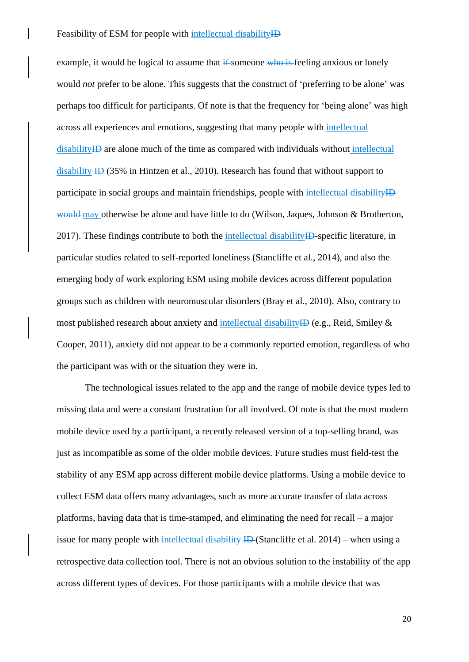#### Feasibility of ESM for people with intellectual disability ID

example, it would be logical to assume that  $\frac{f}{f}$  someone who is feeling anxious or lonely would *not* prefer to be alone. This suggests that the construct of 'preferring to be alone' was perhaps too difficult for participants. Of note is that the frequency for 'being alone' was high across all experiences and emotions, suggesting that many people with intellectual disability<sup>ID</sup> are alone much of the time as compared with individuals without intellectual disability ID (35% in Hintzen et al., 2010). Research has found that without support to participate in social groups and maintain friendships, people with intellectual disability<sup>ID</sup> would may otherwise be alone and have little to do (Wilson, Jaques, Johnson & Brotherton, 2017). These findings contribute to both the intellectual disability ID-specific literature, in particular studies related to self-reported loneliness (Stancliffe et al., 2014), and also the emerging body of work exploring ESM using mobile devices across different population groups such as children with neuromuscular disorders (Bray et al., 2010). Also, contrary to most published research about anxiety and intellectual disability  $\oplus$  (e.g., Reid, Smiley & Cooper, 2011), anxiety did not appear to be a commonly reported emotion, regardless of who the participant was with or the situation they were in.

The technological issues related to the app and the range of mobile device types led to missing data and were a constant frustration for all involved. Of note is that the most modern mobile device used by a participant, a recently released version of a top-selling brand, was just as incompatible as some of the older mobile devices. Future studies must field-test the stability of any ESM app across different mobile device platforms. Using a mobile device to collect ESM data offers many advantages, such as more accurate transfer of data across platforms, having data that is time-stamped, and eliminating the need for recall – a major issue for many people with intellectual disability  $ID$  (Stancliffe et al. 2014) – when using a retrospective data collection tool. There is not an obvious solution to the instability of the app across different types of devices. For those participants with a mobile device that was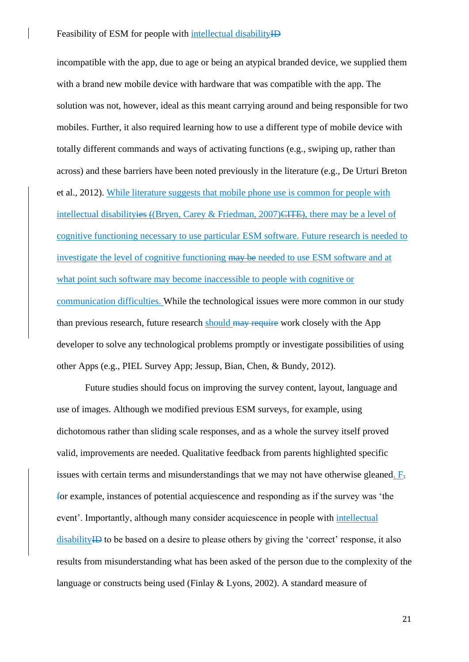#### Feasibility of ESM for people with intellectual disability ID

incompatible with the app, due to age or being an atypical branded device, we supplied them with a brand new mobile device with hardware that was compatible with the app. The solution was not, however, ideal as this meant carrying around and being responsible for two mobiles. Further, it also required learning how to use a different type of mobile device with totally different commands and ways of activating functions (e.g., swiping up, rather than across) and these barriers have been noted previously in the literature (e.g., De Urturi Breton et al., 2012). While literature suggests that mobile phone use is common for people with intellectual disabilityies ((Bryen, Carey & Friedman, 2007)CITE), there may be a level of cognitive functioning necessary to use particular ESM software. Future research is needed to investigate the level of cognitive functioning may be needed to use ESM software and at what point such software may become inaccessible to people with cognitive or communication difficulties. While the technological issues were more common in our study than previous research, future research should may require work closely with the App developer to solve any technological problems promptly or investigate possibilities of using other Apps (e.g., PIEL Survey App; Jessup, Bian, Chen, & Bundy, 2012).

Future studies should focus on improving the survey content, layout, language and use of images. Although we modified previous ESM surveys, for example, using dichotomous rather than sliding scale responses, and as a whole the survey itself proved valid, improvements are needed. Qualitative feedback from parents highlighted specific issues with certain terms and misunderstandings that we may not have otherwise gleaned.  $F_7$ for example, instances of potential acquiescence and responding as if the survey was 'the event'. Importantly, although many consider acquiescence in people with intellectual disability<sup>ID</sup> to be based on a desire to please others by giving the 'correct' response, it also results from misunderstanding what has been asked of the person due to the complexity of the language or constructs being used (Finlay & Lyons, 2002). A standard measure of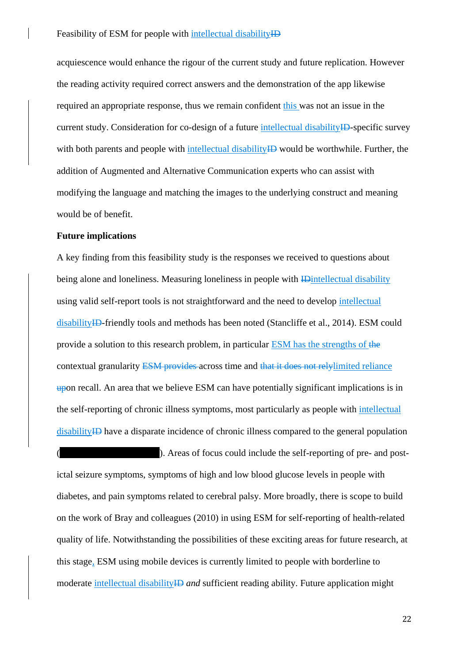acquiescence would enhance the rigour of the current study and future replication. However the reading activity required correct answers and the demonstration of the app likewise required an appropriate response, thus we remain confident this was not an issue in the current study. Consideration for co-design of a future intellectual disability<del>ID</del>-specific survey with both parents and people with intellectual disability<sup>ID</sup> would be worthwhile. Further, the addition of Augmented and Alternative Communication experts who can assist with modifying the language and matching the images to the underlying construct and meaning would be of benefit.

## **Future implications**

A key finding from this feasibility study is the responses we received to questions about being alone and loneliness. Measuring loneliness in people with <del>ID</del>intellectual disability using valid self-report tools is not straightforward and the need to develop intellectual disabilityID-friendly tools and methods has been noted (Stancliffe et al., 2014). ESM could provide a solution to this research problem, in particular ESM has the strengths of the contextual granularity ESM provides across time and that it does not relylimited reliance upon recall. An area that we believe ESM can have potentially significant implications is in the self-reporting of chronic illness symptoms, most particularly as people with intellectual disabilityID have a disparate incidence of chronic illness compared to the general population

). Areas of focus could include the self-reporting of pre- and postictal seizure symptoms, symptoms of high and low blood glucose levels in people with diabetes, and pain symptoms related to cerebral palsy. More broadly, there is scope to build on the work of Bray and colleagues (2010) in using ESM for self-reporting of health-related quality of life. Notwithstanding the possibilities of these exciting areas for future research, at this stage, ESM using mobile devices is currently limited to people with borderline to moderate intellectual disability **ID** and sufficient reading ability. Future application might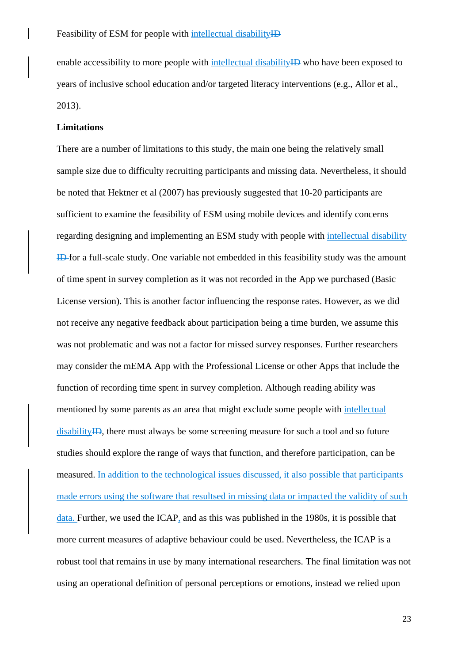enable accessibility to more people with intellectual disability<sup>ID</sup> who have been exposed to years of inclusive school education and/or targeted literacy interventions (e.g., Allor et al., 2013).

#### **Limitations**

There are a number of limitations to this study, the main one being the relatively small sample size due to difficulty recruiting participants and missing data. Nevertheless, it should be noted that Hektner et al (2007) has previously suggested that 10-20 participants are sufficient to examine the feasibility of ESM using mobile devices and identify concerns regarding designing and implementing an ESM study with people with intellectual disability ID for a full-scale study. One variable not embedded in this feasibility study was the amount of time spent in survey completion as it was not recorded in the App we purchased (Basic License version). This is another factor influencing the response rates. However, as we did not receive any negative feedback about participation being a time burden, we assume this was not problematic and was not a factor for missed survey responses. Further researchers may consider the mEMA App with the Professional License or other Apps that include the function of recording time spent in survey completion. Although reading ability was mentioned by some parents as an area that might exclude some people with intellectual disabilityID, there must always be some screening measure for such a tool and so future studies should explore the range of ways that function, and therefore participation, can be measured. In addition to the technological issues discussed, it also possible that participants made errors using the software that resultsed in missing data or impacted the validity of such data. Further, we used the ICAP, and as this was published in the 1980s, it is possible that more current measures of adaptive behaviour could be used. Nevertheless, the ICAP is a robust tool that remains in use by many international researchers. The final limitation was not using an operational definition of personal perceptions or emotions, instead we relied upon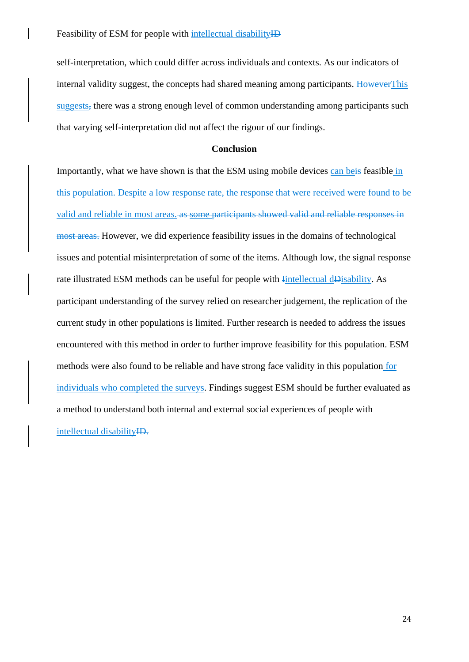self-interpretation, which could differ across individuals and contexts. As our indicators of internal validity suggest, the concepts had shared meaning among participants. HoweverThis suggests, there was a strong enough level of common understanding among participants such that varying self-interpretation did not affect the rigour of our findings.

#### **Conclusion**

Importantly, what we have shown is that the ESM using mobile devices can beis feasible in this population. Despite a low response rate, the response that were received were found to be valid and reliable in most areas. as some participants showed valid and reliable responses in most areas. However, we did experience feasibility issues in the domains of technological issues and potential misinterpretation of some of the items. Although low, the signal response rate illustrated ESM methods can be useful for people with Iintellectual dDisability. As participant understanding of the survey relied on researcher judgement, the replication of the current study in other populations is limited. Further research is needed to address the issues encountered with this method in order to further improve feasibility for this population. ESM methods were also found to be reliable and have strong face validity in this population for individuals who completed the surveys. Findings suggest ESM should be further evaluated as a method to understand both internal and external social experiences of people with intellectual disability ID.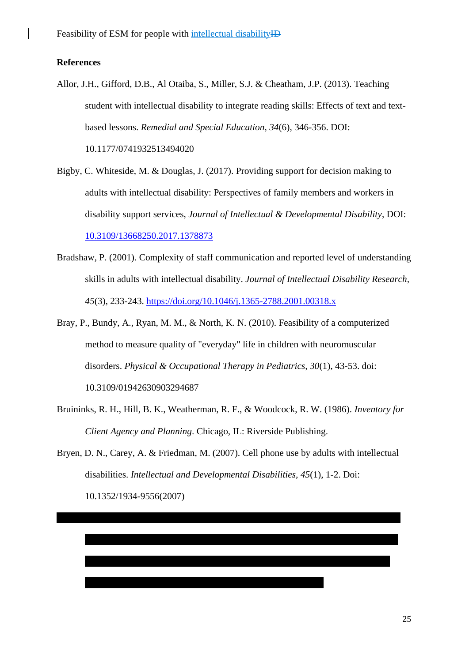#### **References**

- Allor, J.H., Gifford, D.B., Al Otaiba, S., Miller, S.J. & Cheatham, J.P. (2013). Teaching student with intellectual disability to integrate reading skills: Effects of text and textbased lessons. *Remedial and Special Education, 34*(6), 346-356. DOI: 10.1177/0741932513494020
- Bigby, C. Whiteside, M. & Douglas, J. (2017). Providing support for decision making to adults with intellectual disability: Perspectives of family members and workers in disability support services, *Journal of Intellectual & Developmental Disability*, DOI: [10.3109/13668250.2017.1378873](https://doi.org/10.3109/13668250.2017.1378873)
- Bradshaw, P. (2001). Complexity of staff communication and reported level of understanding skills in adults with intellectual disability. *Journal of Intellectual Disability Research, 45*(3), 233-243. <https://doi.org/10.1046/j.1365-2788.2001.00318.x>
- Bray, P., Bundy, A., Ryan, M. M., & North, K. N. (2010). Feasibility of a computerized method to measure quality of "everyday" life in children with neuromuscular disorders. *Physical & Occupational Therapy in Pediatrics, 30*(1), 43-53. doi: 10.3109/01942630903294687
- Bruininks, R. H., Hill, B. K., Weatherman, R. F., & Woodcock, R. W. (1986). *Inventory for Client Agency and Planning*. Chicago, IL: Riverside Publishing.
- Bryen, D. N., Carey, A. & Friedman, M. (2007). Cell phone use by adults with intellectual disabilities. *Intellectual and Developmental Disabilities, 45*(1), 1-2. Doi: 10.1352/1934-9556(2007)

Chen, Y.-W., Bundy, A., Cordier, R., Chien, Y.L., & Einfeld, S. (2016). The experience of social participation in everyday contexts among individuals with Autism Spectrum Disorders: An experience sampling study. *Journal of Autism and Developmental*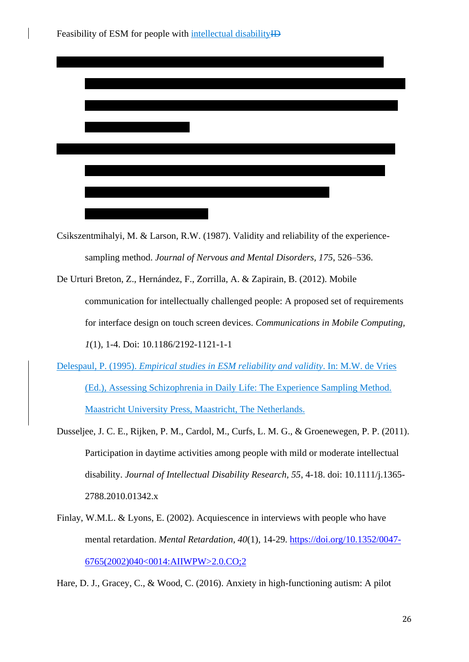

Csikszentmihalyi, M. & Larson, R.W. (1987). Validity and reliability of the experiencesampling method. *Journal of Nervous and Mental Disorders, 175*, 526–536.

De Urturi Breton, Z., Hernández, F., Zorrilla, A. & Zapirain, B. (2012). Mobile communication for intellectually challenged people: A proposed set of requirements for interface design on touch screen devices. *Communications in Mobile Computing, 1*(1), 1-4. Doi: 10.1186/2192-1121-1-1

- Delespaul, P. (1995). *Empirical studies in ESM reliability and validity*. In: M.W. de Vries (Ed.), Assessing Schizophrenia in Daily Life: The Experience Sampling Method. Maastricht University Press, Maastricht, The Netherlands.
- Dusseljee, J. C. E., Rijken, P. M., Cardol, M., Curfs, L. M. G., & Groenewegen, P. P. (2011). Participation in daytime activities among people with mild or moderate intellectual disability. *Journal of Intellectual Disability Research, 55*, 4-18. doi: 10.1111/j.1365- 2788.2010.01342.x
- Finlay, W.M.L. & Lyons, E. (2002). Acquiescence in interviews with people who have mental retardation. *Mental Retardation, 40*(1), 14-29. [https://doi.org/10.1352/0047-](https://doi.org/10.1352/0047-6765(2002)040%3c0014:AIIWPW%3e2.0.CO;2) [6765\(2002\)040<0014:AIIWPW>2.0.CO;2](https://doi.org/10.1352/0047-6765(2002)040%3c0014:AIIWPW%3e2.0.CO;2)

Hare, D. J., Gracey, C., & Wood, C. (2016). Anxiety in high-functioning autism: A pilot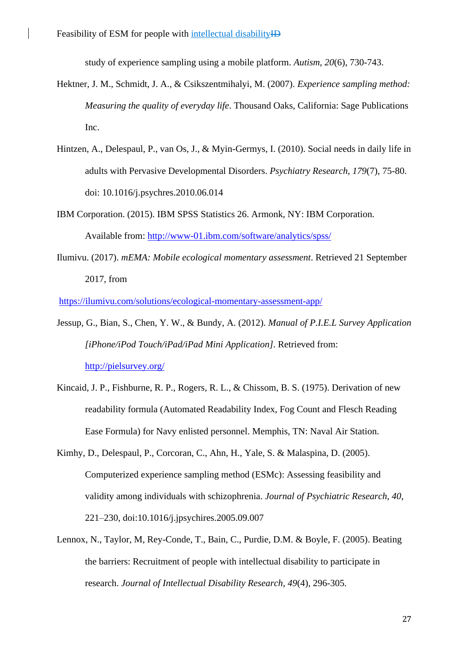study of experience sampling using a mobile platform. *Autism*, *20*(6), 730-743.

- Hektner, J. M., Schmidt, J. A., & Csikszentmihalyi, M. (2007). *Experience sampling method: Measuring the quality of everyday life*. Thousand Oaks, California: Sage Publications Inc.
- Hintzen, A., Delespaul, P., van Os, J., & Myin-Germys, I. (2010). Social needs in daily life in adults with Pervasive Developmental Disorders. *Psychiatry Research, 179*(7), 75-80. doi: 10.1016/j.psychres.2010.06.014
- IBM Corporation. (2015). IBM SPSS Statistics 26. Armonk, NY: IBM Corporation. Available from:<http://www-01.ibm.com/software/analytics/spss/>
- Ilumivu. (2017). *mEMA: Mobile ecological momentary assessment*. Retrieved 21 September 2017, from

<https://ilumivu.com/solutions/ecological-momentary-assessment-app/>

- Jessup, G., Bian, S., Chen, Y. W., & Bundy, A. (2012). *Manual of P.I.E.L Survey Application [iPhone/iPod Touch/iPad/iPad Mini Application]*. Retrieved from: <http://pielsurvey.org/>
- Kincaid, J. P., Fishburne, R. P., Rogers, R. L., & Chissom, B. S. (1975). Derivation of new readability formula (Automated Readability Index, Fog Count and Flesch Reading Ease Formula) for Navy enlisted personnel. Memphis, TN: Naval Air Station.
- Kimhy, D., Delespaul, P., Corcoran, C., Ahn, H., Yale, S. & Malaspina, D. (2005). Computerized experience sampling method (ESMc): Assessing feasibility and validity among individuals with schizophrenia. *Journal of Psychiatric Research, 40*, 221–230, doi:10.1016/j.jpsychires.2005.09.007
- Lennox, N., Taylor, M, Rey-Conde, T., Bain, C., Purdie, D.M. & Boyle, F. (2005). Beating the barriers: Recruitment of people with intellectual disability to participate in research. *Journal of Intellectual Disability Research, 49*(4), 296-305.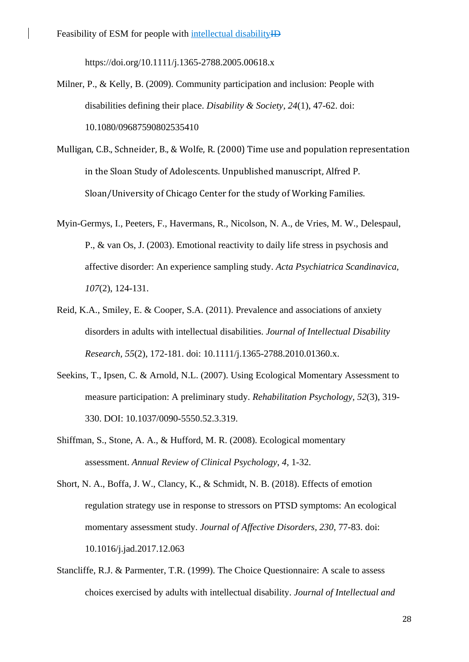https://doi.org/10.1111/j.1365-2788.2005.00618.x

- Milner, P., & Kelly, B. (2009). Community participation and inclusion: People with disabilities defining their place. *Disability & Society, 24*(1), 47-62. doi: 10.1080/09687590802535410
- Mulligan, C.B., Schneider, B., & Wolfe, R. (2000) Time use and population representation in the Sloan Study of Adolescents. Unpublished manuscript, Alfred P. Sloan/University of Chicago Center for the study of Working Families.
- Myin-Germys, I., Peeters, F., Havermans, R., Nicolson, N. A., de Vries, M. W., Delespaul, P., & van Os, J. (2003). Emotional reactivity to daily life stress in psychosis and affective disorder: An experience sampling study. *Acta Psychiatrica Scandinavica, 107*(2), 124-131.
- Reid, K.A., Smiley, E. & Cooper, S.A. (2011). Prevalence and associations of anxiety disorders in adults with intellectual disabilities. *Journal of Intellectual Disability Research, 55*(2), 172-181. doi: 10.1111/j.1365-2788.2010.01360.x.
- Seekins, T., Ipsen, C. & Arnold, N.L. (2007). Using Ecological Momentary Assessment to measure participation: A preliminary study. *Rehabilitation Psychology, 52*(3), 319- 330. DOI: 10.1037/0090-5550.52.3.319.
- Shiffman, S., Stone, A. A., & Hufford, M. R. (2008). Ecological momentary assessment. *Annual Review of Clinical Psychology*, *4*, 1-32.
- Short, N. A., Boffa, J. W., Clancy, K., & Schmidt, N. B. (2018). Effects of emotion regulation strategy use in response to stressors on PTSD symptoms: An ecological momentary assessment study. *Journal of Affective Disorders, 230*, 77-83. doi: 10.1016/j.jad.2017.12.063
- Stancliffe, R.J. & Parmenter, T.R. (1999). The Choice Questionnaire: A scale to assess choices exercised by adults with intellectual disability. *Journal of Intellectual and*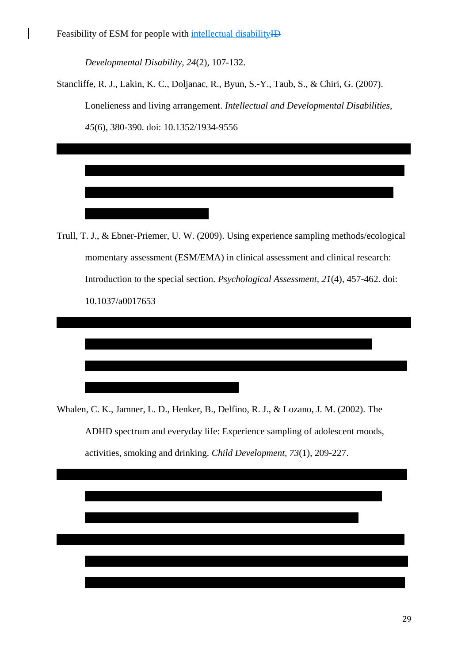*Developmental Disability, 24*(2), 107-132.

Stancliffe, R. J., Lakin, K. C., Doljanac, R., Byun, S.-Y., Taub, S., & Chiri, G. (2007).

Lonelieness and living arrangement. *Intellectual and Developmental Disabilities, 45*(6), 380-390. doi: 10.1352/1934-9556

Stancliffe, R. J., Wilson, N. J., Bigby, C., Balandin, S. & Craig, D. (2014). Responsiveness to





Whalen, C. K., Jamner, L. D., Henker, B., Delfino, R. J., & Lozano, J. M. (2002). The ADHD spectrum and everyday life: Experience sampling of adolescent moods, activities, smoking and drinking. *Child Development, 73*(1), 209-227.

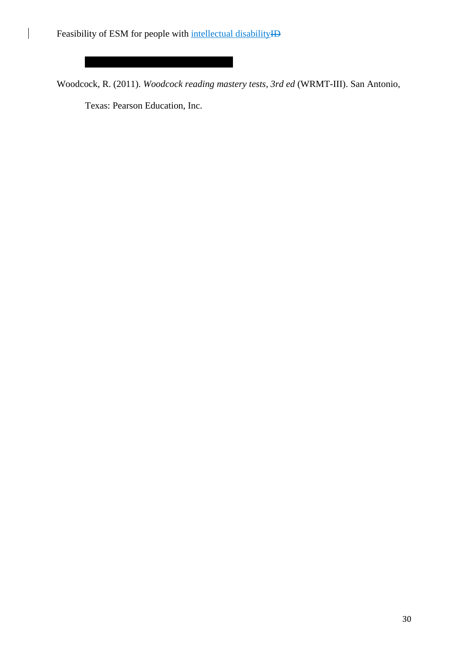Woodcock, R. (2011). *Woodcock reading mastery tests, 3rd ed* (WRMT-III). San Antonio,

Texas: Pearson Education, Inc.

 $\overline{\phantom{a}}$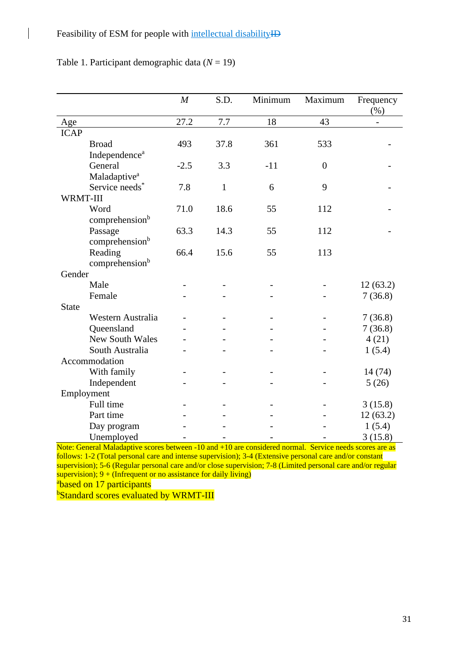# Table 1. Participant demographic data  $(N = 19)$

|                            | M      | S.D.         | Minimum | Maximum        | Frequency<br>(%) |
|----------------------------|--------|--------------|---------|----------------|------------------|
| Age                        | 27.2   | 7.7          | 18      | 43             |                  |
| <b>ICAP</b>                |        |              |         |                |                  |
| <b>Broad</b>               | 493    | 37.8         | 361     | 533            |                  |
| Independence <sup>a</sup>  |        |              |         |                |                  |
| General                    | $-2.5$ | 3.3          | $-11$   | $\overline{0}$ |                  |
| Maladaptive <sup>a</sup>   |        |              |         |                |                  |
| Service needs*             | 7.8    | $\mathbf{1}$ | 6       | 9              |                  |
| WRMT-III                   |        |              |         |                |                  |
| Word                       | 71.0   | 18.6         | 55      | 112            |                  |
| comprehension <sup>b</sup> |        |              |         |                |                  |
| Passage                    | 63.3   | 14.3         | 55      | 112            |                  |
| comprehension <sup>b</sup> |        |              |         |                |                  |
| Reading                    | 66.4   | 15.6         | 55      | 113            |                  |
| comprehension <sup>b</sup> |        |              |         |                |                  |
| Gender                     |        |              |         |                |                  |
| Male                       |        |              |         |                | 12(63.2)         |
| Female                     |        |              |         |                | 7(36.8)          |
| <b>State</b>               |        |              |         |                |                  |
| Western Australia          |        |              |         |                | 7(36.8)          |
| Queensland                 |        |              |         |                | 7(36.8)          |
| <b>New South Wales</b>     |        |              |         |                | 4(21)            |
| South Australia            |        |              |         |                | 1(5.4)           |
| Accommodation              |        |              |         |                |                  |
| With family                |        |              |         |                | 14 (74)          |
| Independent                |        |              |         |                | 5(26)            |
| Employment                 |        |              |         |                |                  |
| Full time                  |        |              |         |                | 3(15.8)          |
| Part time                  |        |              |         |                | 12(63.2)         |
| Day program                |        |              |         |                | 1(5.4)           |
| Unemployed                 |        |              |         |                | 3(15.8)          |

Note: General Maladaptive scores between -10 and +10 are considered normal. Service needs scores are as follows: 1-2 (Total personal care and intense supervision); 3-4 (Extensive personal care and/or constant supervision); 5-6 (Regular personal care and/or close supervision; 7-8 (Limited personal care and/or regular supervision);  $9 + (Infrequent or no assistance for daily living)$ 

abased on 17 participants

**Standard scores evaluated by WRMT-III**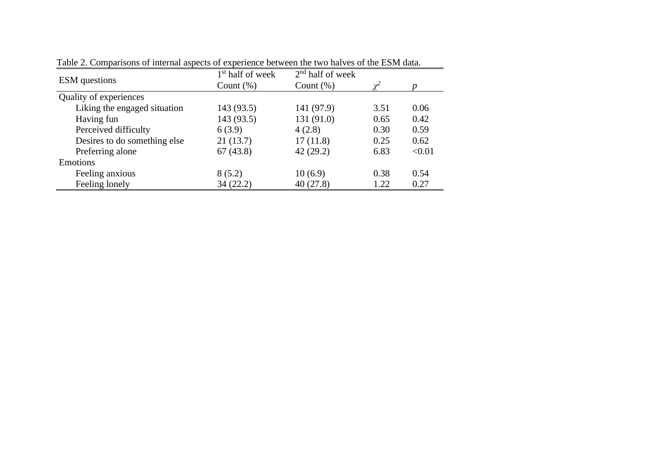| Table 2. Comparisons of internal aspects of experience between the two narves of the ESM data. |                              |                    |      |        |  |  |  |
|------------------------------------------------------------------------------------------------|------------------------------|--------------------|------|--------|--|--|--|
|                                                                                                | 1 <sup>st</sup> half of week | $2nd$ half of week |      |        |  |  |  |
| <b>ESM</b> questions                                                                           | Count $(\%)$                 | Count $(\%)$       |      |        |  |  |  |
| Quality of experiences                                                                         |                              |                    |      |        |  |  |  |
| Liking the engaged situation                                                                   | 143 (93.5)                   | 141 (97.9)         | 3.51 | 0.06   |  |  |  |
| Having fun                                                                                     | 143(93.5)                    | 131 (91.0)         | 0.65 | 0.42   |  |  |  |
| Perceived difficulty                                                                           | 6(3.9)                       | 4(2.8)             | 0.30 | 0.59   |  |  |  |
| Desires to do something else                                                                   | 21(13.7)                     | 17(11.8)           | 0.25 | 0.62   |  |  |  |
| Preferring alone                                                                               | 67(43.8)                     | 42(29.2)           | 6.83 | < 0.01 |  |  |  |
| Emotions                                                                                       |                              |                    |      |        |  |  |  |
| Feeling anxious                                                                                | 8(5.2)                       | 10(6.9)            | 0.38 | 0.54   |  |  |  |
| Feeling lonely                                                                                 | 34(22.2)                     | 40(27.8)           | 1.22 | 0.27   |  |  |  |
|                                                                                                |                              |                    |      |        |  |  |  |

Table 2. Comparisons of internal aspects of experience between the two halves of the ESM data.